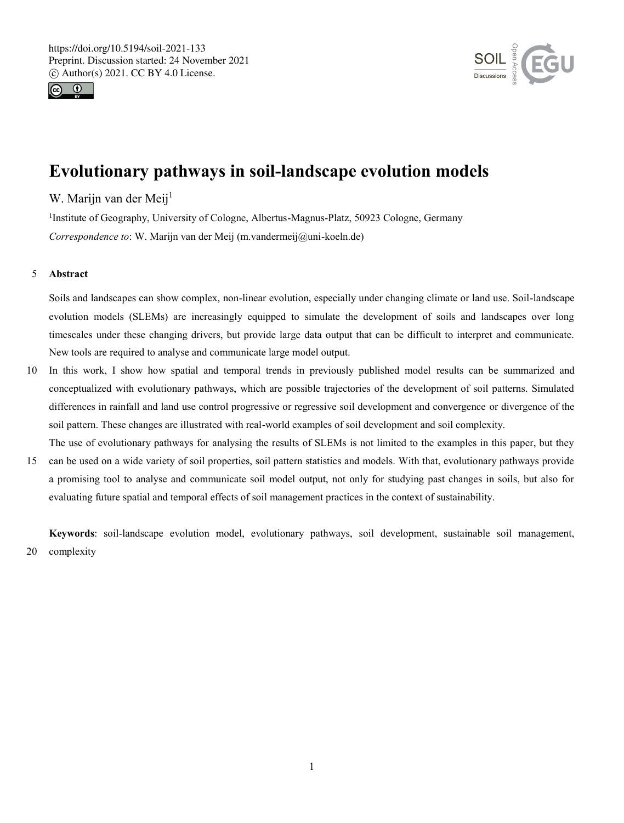



# **Evolutionary pathways in soil-landscape evolution models**

## W. Marijn van der Meij<sup>1</sup>

<sup>1</sup>Institute of Geography, University of Cologne, Albertus-Magnus-Platz, 50923 Cologne, Germany *Correspondence to*: W. Marijn van der Meij (m.vandermeij@uni-koeln.de)

## 5 **Abstract**

Soils and landscapes can show complex, non-linear evolution, especially under changing climate or land use. Soil-landscape evolution models (SLEMs) are increasingly equipped to simulate the development of soils and landscapes over long timescales under these changing drivers, but provide large data output that can be difficult to interpret and communicate. New tools are required to analyse and communicate large model output.

- 10 In this work, I show how spatial and temporal trends in previously published model results can be summarized and conceptualized with evolutionary pathways, which are possible trajectories of the development of soil patterns. Simulated differences in rainfall and land use control progressive or regressive soil development and convergence or divergence of the soil pattern. These changes are illustrated with real-world examples of soil development and soil complexity.
- The use of evolutionary pathways for analysing the results of SLEMs is not limited to the examples in this paper, but they 15 can be used on a wide variety of soil properties, soil pattern statistics and models. With that, evolutionary pathways provide a promising tool to analyse and communicate soil model output, not only for studying past changes in soils, but also for evaluating future spatial and temporal effects of soil management practices in the context of sustainability.

**Keywords**: soil-landscape evolution model, evolutionary pathways, soil development, sustainable soil management, 20 complexity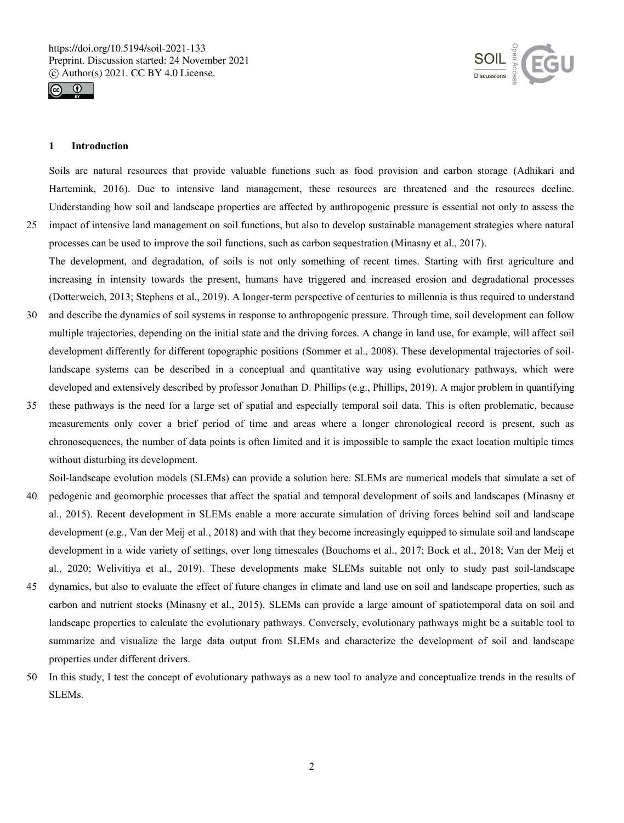



## **1 Introduction**

Soils are natural resources that provide valuable functions such as food provision and carbon storage (Adhikari and Hartemink, 2016). Due to intensive land management, these resources are threatened and the resources decline. Understanding how soil and landscape properties are affected by anthropogenic pressure is essential not only to assess the 25 impact of intensive land management on soil functions, but also to develop sustainable management strategies where natural

- processes can be used to improve the soil functions, such as carbon sequestration (Minasny et al., 2017). The development, and degradation, of soils is not only something of recent times. Starting with first agriculture and increasing in intensity towards the present, humans have triggered and increased erosion and degradational processes (Dotterweich, 2013; Stephens et al., 2019). A longer-term perspective of centuries to millennia is thus required to understand
- 30 and describe the dynamics of soil systems in response to anthropogenic pressure. Through time, soil development can follow multiple trajectories, depending on the initial state and the driving forces. A change in land use, for example, will affect soil development differently for different topographic positions (Sommer et al., 2008). These developmental trajectories of soillandscape systems can be described in a conceptual and quantitative way using evolutionary pathways, which were developed and extensively described by professor Jonathan D. Phillips (e.g., Phillips, 2019). A major problem in quantifying
- 35 these pathways is the need for a large set of spatial and especially temporal soil data. This is often problematic, because measurements only cover a brief period of time and areas where a longer chronological record is present, such as chronosequences, the number of data points is often limited and it is impossible to sample the exact location multiple times without disturbing its development.

Soil-landscape evolution models (SLEMs) can provide a solution here. SLEMs are numerical models that simulate a set of 40 pedogenic and geomorphic processes that affect the spatial and temporal development of soils and landscapes (Minasny et

- al., 2015). Recent development in SLEMs enable a more accurate simulation of driving forces behind soil and landscape development (e.g., Van der Meij et al., 2018) and with that they become increasingly equipped to simulate soil and landscape development in a wide variety of settings, over long timescales (Bouchoms et al., 2017; Bock et al., 2018; Van der Meij et al., 2020; Welivitiya et al., 2019). These developments make SLEMs suitable not only to study past soil-landscape
- 45 dynamics, but also to evaluate the effect of future changes in climate and land use on soil and landscape properties, such as carbon and nutrient stocks (Minasny et al., 2015). SLEMs can provide a large amount of spatiotemporal data on soil and landscape properties to calculate the evolutionary pathways. Conversely, evolutionary pathways might be a suitable tool to summarize and visualize the large data output from SLEMs and characterize the development of soil and landscape properties under different drivers.
- 50 In this study, I test the concept of evolutionary pathways as a new tool to analyze and conceptualize trends in the results of SLEMs.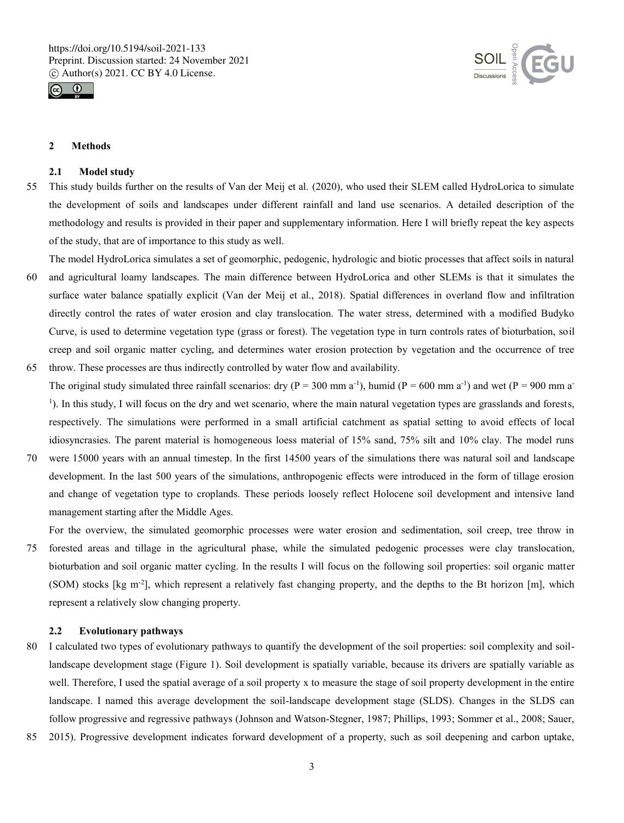



#### **2 Methods**

#### **2.1 Model study**

- 55 This study builds further on the results of Van der Meij et al. (2020), who used their SLEM called HydroLorica to simulate the development of soils and landscapes under different rainfall and land use scenarios. A detailed description of the methodology and results is provided in their paper and supplementary information. Here I will briefly repeat the key aspects of the study, that are of importance to this study as well.
- The model HydroLorica simulates a set of geomorphic, pedogenic, hydrologic and biotic processes that affect soils in natural 60 and agricultural loamy landscapes. The main difference between HydroLorica and other SLEMs is that it simulates the surface water balance spatially explicit (Van der Meij et al., 2018). Spatial differences in overland flow and infiltration directly control the rates of water erosion and clay translocation. The water stress, determined with a modified Budyko Curve, is used to determine vegetation type (grass or forest). The vegetation type in turn controls rates of bioturbation, soil creep and soil organic matter cycling, and determines water erosion protection by vegetation and the occurrence of tree 65 throw. These processes are thus indirectly controlled by water flow and availability.
- The original study simulated three rainfall scenarios: dry ( $P = 300$  mm a<sup>-1</sup>), humid ( $P = 600$  mm a<sup>-1</sup>) and wet ( $P = 900$  mm a<sup>-1</sup>) 1 ). In this study, I will focus on the dry and wet scenario, where the main natural vegetation types are grasslands and forests, respectively. The simulations were performed in a small artificial catchment as spatial setting to avoid effects of local idiosyncrasies. The parent material is homogeneous loess material of 15% sand, 75% silt and 10% clay. The model runs
- 70 were 15000 years with an annual timestep. In the first 14500 years of the simulations there was natural soil and landscape development. In the last 500 years of the simulations, anthropogenic effects were introduced in the form of tillage erosion and change of vegetation type to croplands. These periods loosely reflect Holocene soil development and intensive land management starting after the Middle Ages.
- For the overview, the simulated geomorphic processes were water erosion and sedimentation, soil creep, tree throw in 75 forested areas and tillage in the agricultural phase, while the simulated pedogenic processes were clay translocation, bioturbation and soil organic matter cycling. In the results I will focus on the following soil properties: soil organic matter (SOM) stocks [kg m-2 ], which represent a relatively fast changing property, and the depths to the Bt horizon [m], which represent a relatively slow changing property.

## **2.2 Evolutionary pathways**

- 80 I calculated two types of evolutionary pathways to quantify the development of the soil properties: soil complexity and soillandscape development stage (Figure 1). Soil development is spatially variable, because its drivers are spatially variable as well. Therefore, I used the spatial average of a soil property x to measure the stage of soil property development in the entire landscape. I named this average development the soil-landscape development stage (SLDS). Changes in the SLDS can follow progressive and regressive pathways (Johnson and Watson-Stegner, 1987; Phillips, 1993; Sommer et al., 2008; Sauer,
- 85 2015). Progressive development indicates forward development of a property, such as soil deepening and carbon uptake,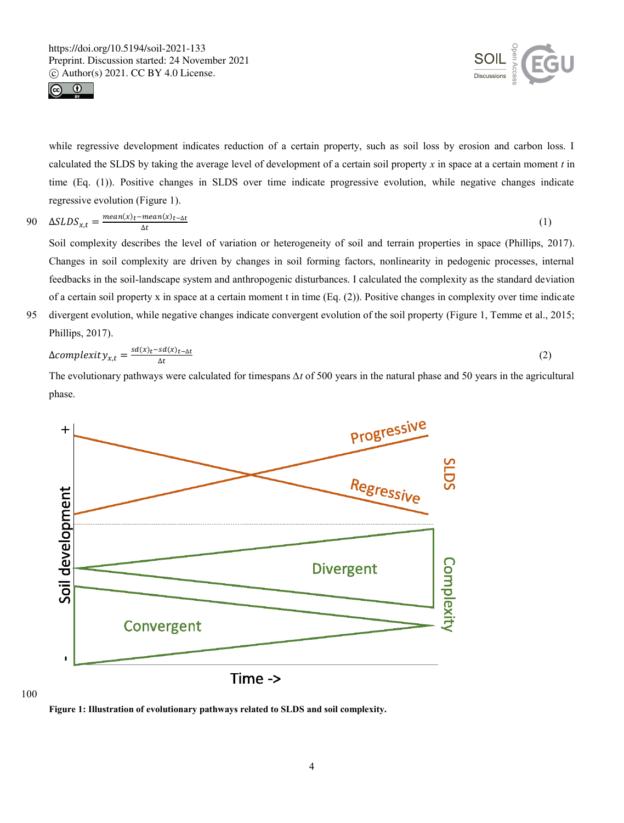



while regressive development indicates reduction of a certain property, such as soil loss by erosion and carbon loss. I calculated the SLDS by taking the average level of development of a certain soil property *x* in space at a certain moment *t* in time (Eq. (1)). Positive changes in SLDS over time indicate progressive evolution, while negative changes indicate regressive evolution (Figure 1).

$$
90 \quad \Delta SLDS_{x,t} = \frac{mean(x)_t - mean(x)_{t-\Delta t}}{\Delta t} \tag{1}
$$

Soil complexity describes the level of variation or heterogeneity of soil and terrain properties in space (Phillips, 2017). Changes in soil complexity are driven by changes in soil forming factors, nonlinearity in pedogenic processes, internal feedbacks in the soil-landscape system and anthropogenic disturbances. I calculated the complexity as the standard deviation of a certain soil property x in space at a certain moment t in time (Eq. (2)). Positive changes in complexity over time indicate

95 divergent evolution, while negative changes indicate convergent evolution of the soil property (Figure 1, Temme et al., 2015; Phillips, 2017).

$$
\Delta complexity_{x,t} = \frac{sd(x)t - sd(x)t - \Delta t}{\Delta t}
$$
\n(2)

The evolutionary pathways were calculated for timespans *∆t* of 500 years in the natural phase and 50 years in the agricultural phase.



100

**Figure 1: Illustration of evolutionary pathways related to SLDS and soil complexity.**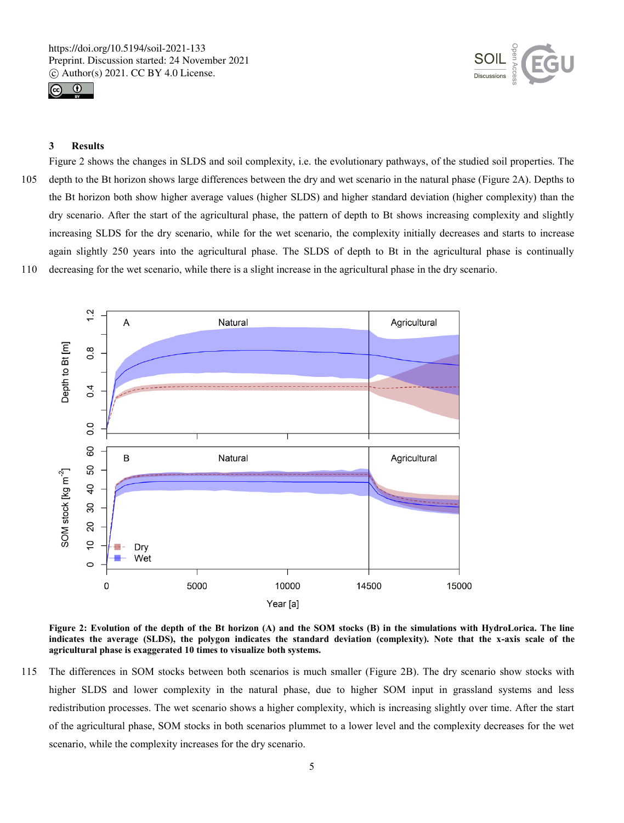



## **3 Results**

Figure 2 shows the changes in SLDS and soil complexity, i.e. the evolutionary pathways, of the studied soil properties. The 105 depth to the Bt horizon shows large differences between the dry and wet scenario in the natural phase (Figure 2A). Depths to the Bt horizon both show higher average values (higher SLDS) and higher standard deviation (higher complexity) than the dry scenario. After the start of the agricultural phase, the pattern of depth to Bt shows increasing complexity and slightly increasing SLDS for the dry scenario, while for the wet scenario, the complexity initially decreases and starts to increase again slightly 250 years into the agricultural phase. The SLDS of depth to Bt in the agricultural phase is continually 110 decreasing for the wet scenario, while there is a slight increase in the agricultural phase in the dry scenario.



**Figure 2: Evolution of the depth of the Bt horizon (A) and the SOM stocks (B) in the simulations with HydroLorica. The line indicates the average (SLDS), the polygon indicates the standard deviation (complexity). Note that the x-axis scale of the agricultural phase is exaggerated 10 times to visualize both systems.** 

115 The differences in SOM stocks between both scenarios is much smaller (Figure 2B). The dry scenario show stocks with higher SLDS and lower complexity in the natural phase, due to higher SOM input in grassland systems and less redistribution processes. The wet scenario shows a higher complexity, which is increasing slightly over time. After the start of the agricultural phase, SOM stocks in both scenarios plummet to a lower level and the complexity decreases for the wet scenario, while the complexity increases for the dry scenario.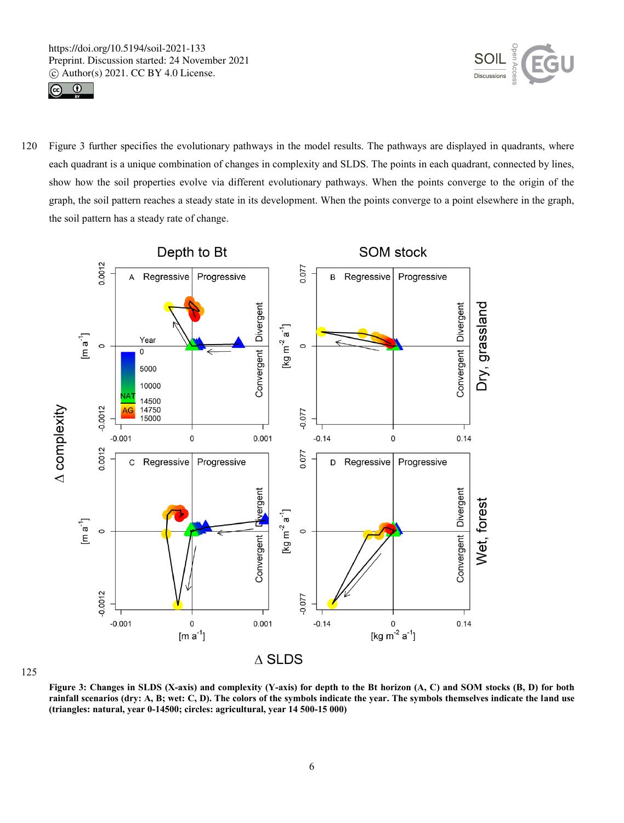



120 Figure 3 further specifies the evolutionary pathways in the model results. The pathways are displayed in quadrants, where each quadrant is a unique combination of changes in complexity and SLDS. The points in each quadrant, connected by lines, show how the soil properties evolve via different evolutionary pathways. When the points converge to the origin of the graph, the soil pattern reaches a steady state in its development. When the points converge to a point elsewhere in the graph, the soil pattern has a steady rate of change.



125

**Figure 3: Changes in SLDS (X-axis) and complexity (Y-axis) for depth to the Bt horizon (A, C) and SOM stocks (B, D) for both rainfall scenarios (dry: A, B; wet: C, D). The colors of the symbols indicate the year. The symbols themselves indicate the land use (triangles: natural, year 0-14500; circles: agricultural, year 14 500-15 000)**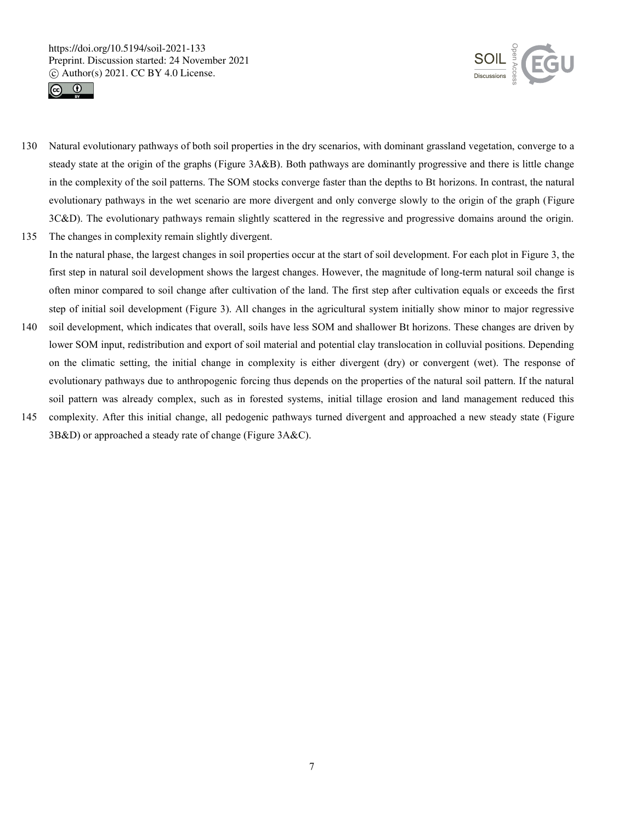



- 130 Natural evolutionary pathways of both soil properties in the dry scenarios, with dominant grassland vegetation, converge to a steady state at the origin of the graphs (Figure 3A&B). Both pathways are dominantly progressive and there is little change in the complexity of the soil patterns. The SOM stocks converge faster than the depths to Bt horizons. In contrast, the natural evolutionary pathways in the wet scenario are more divergent and only converge slowly to the origin of the graph (Figure 3C&D). The evolutionary pathways remain slightly scattered in the regressive and progressive domains around the origin. 135 The changes in complexity remain slightly divergent.
- In the natural phase, the largest changes in soil properties occur at the start of soil development. For each plot in Figure 3, the first step in natural soil development shows the largest changes. However, the magnitude of long-term natural soil change is often minor compared to soil change after cultivation of the land. The first step after cultivation equals or exceeds the first step of initial soil development (Figure 3). All changes in the agricultural system initially show minor to major regressive
- 140 soil development, which indicates that overall, soils have less SOM and shallower Bt horizons. These changes are driven by lower SOM input, redistribution and export of soil material and potential clay translocation in colluvial positions. Depending on the climatic setting, the initial change in complexity is either divergent (dry) or convergent (wet). The response of evolutionary pathways due to anthropogenic forcing thus depends on the properties of the natural soil pattern. If the natural soil pattern was already complex, such as in forested systems, initial tillage erosion and land management reduced this
- 145 complexity. After this initial change, all pedogenic pathways turned divergent and approached a new steady state (Figure 3B&D) or approached a steady rate of change (Figure 3A&C).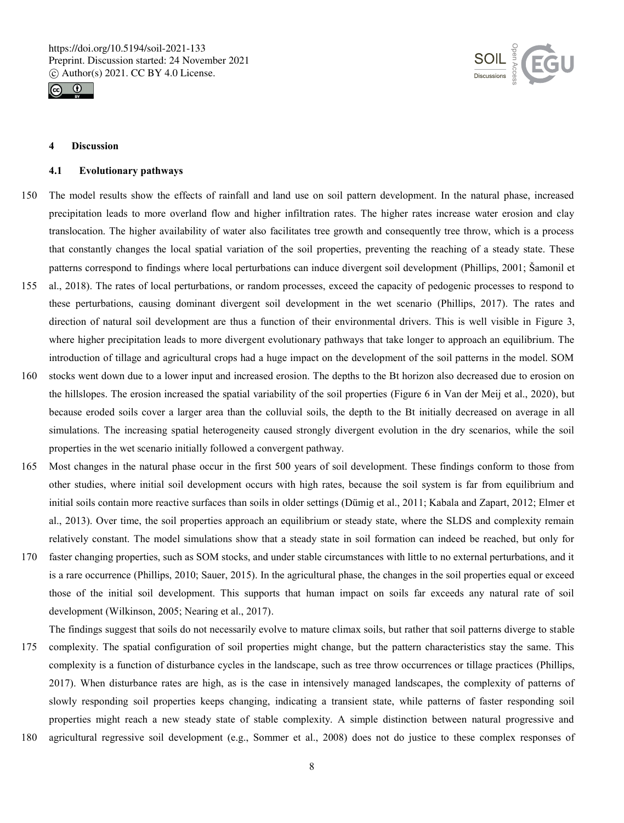



#### **4 Discussion**

#### **4.1 Evolutionary pathways**

- 150 The model results show the effects of rainfall and land use on soil pattern development. In the natural phase, increased precipitation leads to more overland flow and higher infiltration rates. The higher rates increase water erosion and clay translocation. The higher availability of water also facilitates tree growth and consequently tree throw, which is a process that constantly changes the local spatial variation of the soil properties, preventing the reaching of a steady state. These patterns correspond to findings where local perturbations can induce divergent soil development (Phillips, 2001; Šamonil et
- 155 al., 2018). The rates of local perturbations, or random processes, exceed the capacity of pedogenic processes to respond to these perturbations, causing dominant divergent soil development in the wet scenario (Phillips, 2017). The rates and direction of natural soil development are thus a function of their environmental drivers. This is well visible in Figure 3, where higher precipitation leads to more divergent evolutionary pathways that take longer to approach an equilibrium. The introduction of tillage and agricultural crops had a huge impact on the development of the soil patterns in the model. SOM
- 160 stocks went down due to a lower input and increased erosion. The depths to the Bt horizon also decreased due to erosion on the hillslopes. The erosion increased the spatial variability of the soil properties (Figure 6 in Van der Meij et al., 2020), but because eroded soils cover a larger area than the colluvial soils, the depth to the Bt initially decreased on average in all simulations. The increasing spatial heterogeneity caused strongly divergent evolution in the dry scenarios, while the soil properties in the wet scenario initially followed a convergent pathway.
- 165 Most changes in the natural phase occur in the first 500 years of soil development. These findings conform to those from other studies, where initial soil development occurs with high rates, because the soil system is far from equilibrium and initial soils contain more reactive surfaces than soils in older settings (Dümig et al., 2011; Kabala and Zapart, 2012; Elmer et al., 2013). Over time, the soil properties approach an equilibrium or steady state, where the SLDS and complexity remain relatively constant. The model simulations show that a steady state in soil formation can indeed be reached, but only for
- 170 faster changing properties, such as SOM stocks, and under stable circumstances with little to no external perturbations, and it is a rare occurrence (Phillips, 2010; Sauer, 2015). In the agricultural phase, the changes in the soil properties equal or exceed those of the initial soil development. This supports that human impact on soils far exceeds any natural rate of soil development (Wilkinson, 2005; Nearing et al., 2017).

The findings suggest that soils do not necessarily evolve to mature climax soils, but rather that soil patterns diverge to stable 175 complexity. The spatial configuration of soil properties might change, but the pattern characteristics stay the same. This complexity is a function of disturbance cycles in the landscape, such as tree throw occurrences or tillage practices (Phillips, 2017). When disturbance rates are high, as is the case in intensively managed landscapes, the complexity of patterns of slowly responding soil properties keeps changing, indicating a transient state, while patterns of faster responding soil

properties might reach a new steady state of stable complexity. A simple distinction between natural progressive and 180 agricultural regressive soil development (e.g., Sommer et al., 2008) does not do justice to these complex responses of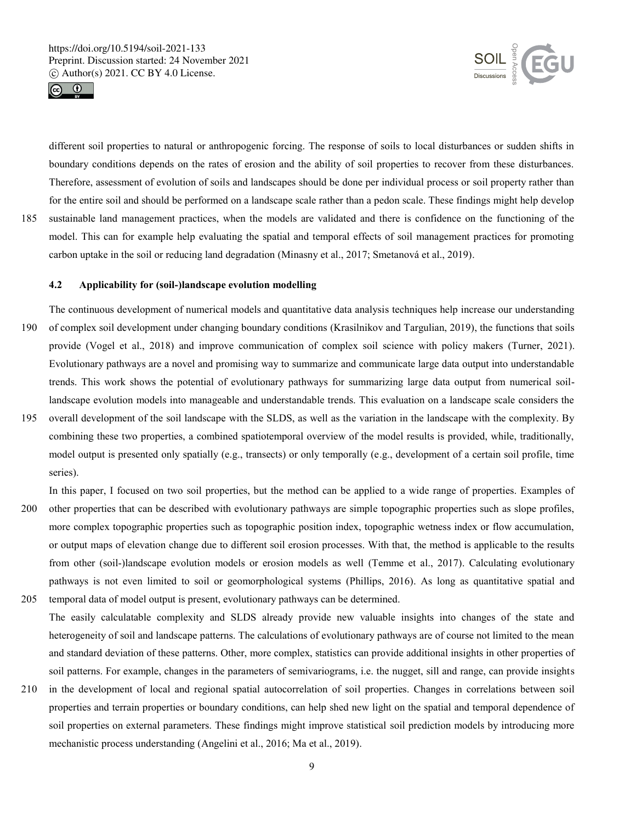



different soil properties to natural or anthropogenic forcing. The response of soils to local disturbances or sudden shifts in boundary conditions depends on the rates of erosion and the ability of soil properties to recover from these disturbances. Therefore, assessment of evolution of soils and landscapes should be done per individual process or soil property rather than for the entire soil and should be performed on a landscape scale rather than a pedon scale. These findings might help develop 185 sustainable land management practices, when the models are validated and there is confidence on the functioning of the model. This can for example help evaluating the spatial and temporal effects of soil management practices for promoting

#### **4.2 Applicability for (soil-)landscape evolution modelling**

The continuous development of numerical models and quantitative data analysis techniques help increase our understanding 190 of complex soil development under changing boundary conditions (Krasilnikov and Targulian, 2019), the functions that soils provide (Vogel et al., 2018) and improve communication of complex soil science with policy makers (Turner, 2021). Evolutionary pathways are a novel and promising way to summarize and communicate large data output into understandable trends. This work shows the potential of evolutionary pathways for summarizing large data output from numerical soillandscape evolution models into manageable and understandable trends. This evaluation on a landscape scale considers the

carbon uptake in the soil or reducing land degradation (Minasny et al., 2017; Smetanová et al., 2019).

195 overall development of the soil landscape with the SLDS, as well as the variation in the landscape with the complexity. By combining these two properties, a combined spatiotemporal overview of the model results is provided, while, traditionally, model output is presented only spatially (e.g., transects) or only temporally (e.g., development of a certain soil profile, time series).

In this paper, I focused on two soil properties, but the method can be applied to a wide range of properties. Examples of

- 200 other properties that can be described with evolutionary pathways are simple topographic properties such as slope profiles, more complex topographic properties such as topographic position index, topographic wetness index or flow accumulation, or output maps of elevation change due to different soil erosion processes. With that, the method is applicable to the results from other (soil-)landscape evolution models or erosion models as well (Temme et al., 2017). Calculating evolutionary pathways is not even limited to soil or geomorphological systems (Phillips, 2016). As long as quantitative spatial and
- 205 temporal data of model output is present, evolutionary pathways can be determined. The easily calculatable complexity and SLDS already provide new valuable insights into changes of the state and heterogeneity of soil and landscape patterns. The calculations of evolutionary pathways are of course not limited to the mean and standard deviation of these patterns. Other, more complex, statistics can provide additional insights in other properties of soil patterns. For example, changes in the parameters of semivariograms, i.e. the nugget, sill and range, can provide insights
- 210 in the development of local and regional spatial autocorrelation of soil properties. Changes in correlations between soil properties and terrain properties or boundary conditions, can help shed new light on the spatial and temporal dependence of soil properties on external parameters. These findings might improve statistical soil prediction models by introducing more mechanistic process understanding (Angelini et al., 2016; Ma et al., 2019).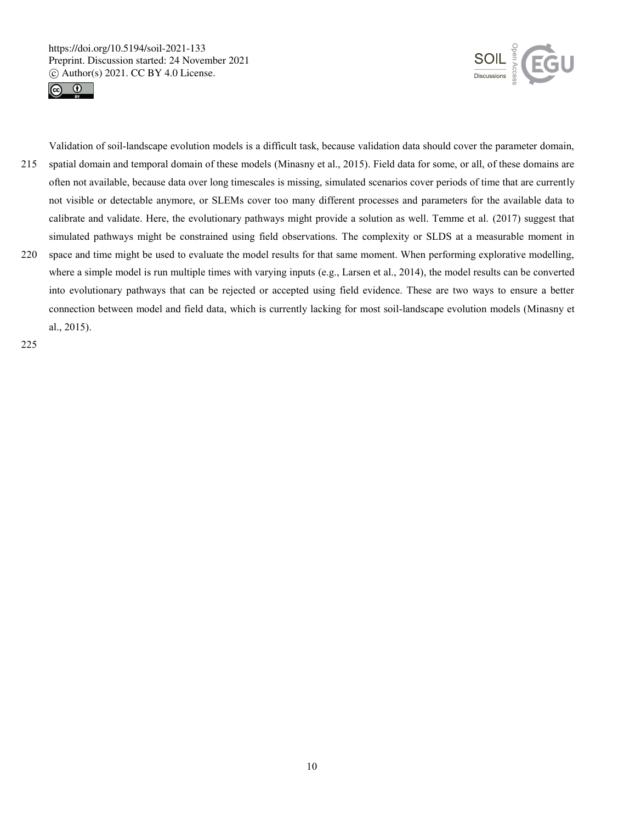



215 spatial domain and temporal domain of these models (Minasny et al., 2015). Field data for some, or all, of these domains are often not available, because data over long timescales is missing, simulated scenarios cover periods of time that are currently not visible or detectable anymore, or SLEMs cover too many different processes and parameters for the available data to calibrate and validate. Here, the evolutionary pathways might provide a solution as well. Temme et al. (2017) suggest that simulated pathways might be constrained using field observations. The complexity or SLDS at a measurable moment in

Validation of soil-landscape evolution models is a difficult task, because validation data should cover the parameter domain,

220 space and time might be used to evaluate the model results for that same moment. When performing explorative modelling, where a simple model is run multiple times with varying inputs (e.g., Larsen et al., 2014), the model results can be converted into evolutionary pathways that can be rejected or accepted using field evidence. These are two ways to ensure a better connection between model and field data, which is currently lacking for most soil-landscape evolution models (Minasny et al., 2015).

225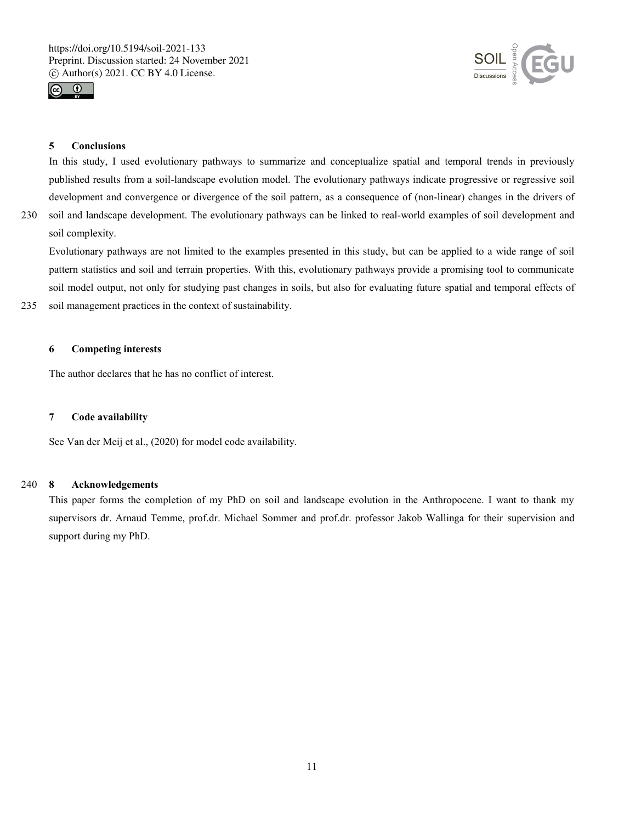



## **5 Conclusions**

In this study, I used evolutionary pathways to summarize and conceptualize spatial and temporal trends in previously published results from a soil-landscape evolution model. The evolutionary pathways indicate progressive or regressive soil development and convergence or divergence of the soil pattern, as a consequence of (non-linear) changes in the drivers of

230 soil and landscape development. The evolutionary pathways can be linked to real-world examples of soil development and

soil complexity.

Evolutionary pathways are not limited to the examples presented in this study, but can be applied to a wide range of soil pattern statistics and soil and terrain properties. With this, evolutionary pathways provide a promising tool to communicate soil model output, not only for studying past changes in soils, but also for evaluating future spatial and temporal effects of

235 soil management practices in the context of sustainability.

## **6 Competing interests**

The author declares that he has no conflict of interest.

## **7 Code availability**

See Van der Meij et al., (2020) for model code availability.

#### 240 **8 Acknowledgements**

This paper forms the completion of my PhD on soil and landscape evolution in the Anthropocene. I want to thank my supervisors dr. Arnaud Temme, prof.dr. Michael Sommer and prof.dr. professor Jakob Wallinga for their supervision and support during my PhD.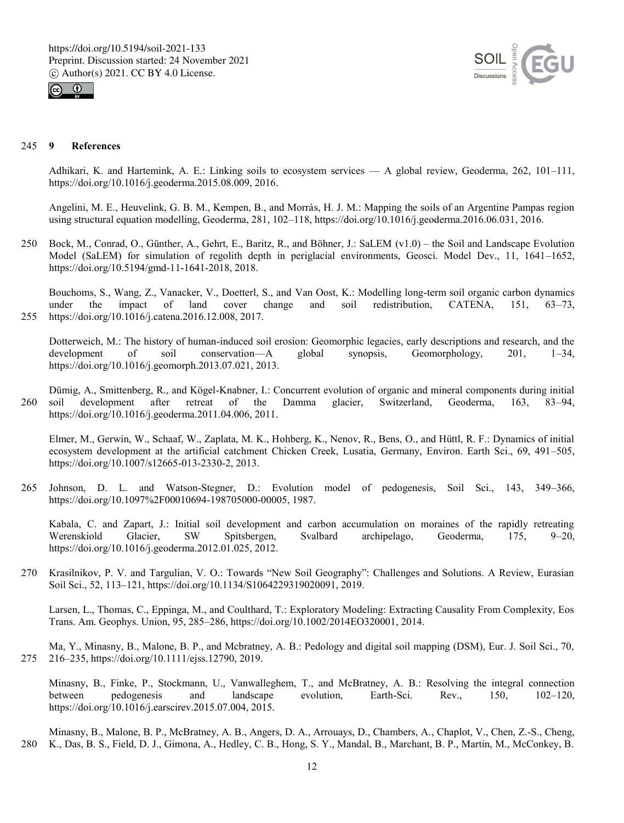



#### 245 **9 References**

Adhikari, K. and Hartemink, A. E.: Linking soils to ecosystem services — A global review, Geoderma, 262, 101–111, https://doi.org/10.1016/j.geoderma.2015.08.009, 2016.

Angelini, M. E., Heuvelink, G. B. M., Kempen, B., and Morrás, H. J. M.: Mapping the soils of an Argentine Pampas region using structural equation modelling, Geoderma, 281, 102–118, https://doi.org/10.1016/j.geoderma.2016.06.031, 2016.

250 Bock, M., Conrad, O., Günther, A., Gehrt, E., Baritz, R., and Böhner, J.: SaLEM (v1.0) – the Soil and Landscape Evolution Model (SaLEM) for simulation of regolith depth in periglacial environments, Geosci. Model Dev., 11, 1641–1652, https://doi.org/10.5194/gmd-11-1641-2018, 2018.

Bouchoms, S., Wang, Z., Vanacker, V., Doetterl, S., and Van Oost, K.: Modelling long-term soil organic carbon dynamics under the impact of land cover change and soil redistribution, CATENA, 151, 63–73, under the impact of land cover change and soil redistribution, CATENA, 151, 63–73, 255 https://doi.org/10.1016/j.catena.2016.12.008, 2017.

Dotterweich, M.: The history of human-induced soil erosion: Geomorphic legacies, early descriptions and research, and the development of soil conservation—A global synopsis, Geomorphology, 201, 1–34, https://doi.org/10.1016/j.geomorph.2013.07.021, 2013.

Dümig, A., Smittenberg, R., and Kögel-Knabner, I.: Concurrent evolution of organic and mineral components during initial 260 soil development after retreat of the Damma glacier, Switzerland, Geoderma, 163, 83–94, https://doi.org/10.1016/j.geoderma.2011.04.006, 2011.

Elmer, M., Gerwin, W., Schaaf, W., Zaplata, M. K., Hohberg, K., Nenov, R., Bens, O., and Hüttl, R. F.: Dynamics of initial ecosystem development at the artificial catchment Chicken Creek, Lusatia, Germany, Environ. Earth Sci., 69, 491–505, https://doi.org/10.1007/s12665-013-2330-2, 2013.

265 Johnson, D. L. and Watson-Stegner, D.: Evolution model of pedogenesis, Soil Sci., 143, 349–366, https://doi.org/10.1097%2F00010694-198705000-00005, 1987.

Kabala, C. and Zapart, J.: Initial soil development and carbon accumulation on moraines of the rapidly retreating Werenskiold Glacier, SW Spitsbergen, Svalbard archipelago, Geoderma, 175, 9–20, https://doi.org/10.1016/j.geoderma.2012.01.025, 2012.

270 Krasilnikov, P. V. and Targulian, V. O.: Towards "New Soil Geography": Challenges and Solutions. A Review, Eurasian Soil Sci., 52, 113–121, https://doi.org/10.1134/S1064229319020091, 2019.

Larsen, L., Thomas, C., Eppinga, M., and Coulthard, T.: Exploratory Modeling: Extracting Causality From Complexity, Eos Trans. Am. Geophys. Union, 95, 285–286, https://doi.org/10.1002/2014EO320001, 2014.

Ma, Y., Minasny, B., Malone, B. P., and Mcbratney, A. B.: Pedology and digital soil mapping (DSM), Eur. J. Soil Sci., 70, 275 216–235, https://doi.org/10.1111/ejss.12790, 2019.

Minasny, B., Finke, P., Stockmann, U., Vanwalleghem, T., and McBratney, A. B.: Resolving the integral connection between pedogenesis and landscape evolution, Earth-Sci. Rev., 150, 102–120, https://doi.org/10.1016/j.earscirev.2015.07.004, 2015.

Minasny, B., Malone, B. P., McBratney, A. B., Angers, D. A., Arrouays, D., Chambers, A., Chaplot, V., Chen, Z.-S., Cheng, 280 K., Das, B. S., Field, D. J., Gimona, A., Hedley, C. B., Hong, S. Y., Mandal, B., Marchant, B. P., Martin, M., McConkey, B.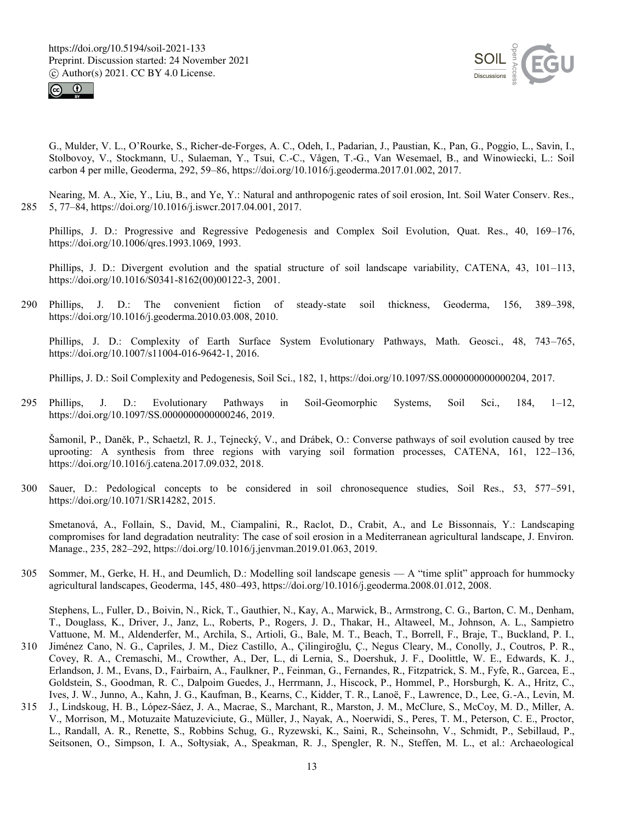



G., Mulder, V. L., O'Rourke, S., Richer-de-Forges, A. C., Odeh, I., Padarian, J., Paustian, K., Pan, G., Poggio, L., Savin, I., Stolbovoy, V., Stockmann, U., Sulaeman, Y., Tsui, C.-C., Vågen, T.-G., Van Wesemael, B., and Winowiecki, L.: Soil carbon 4 per mille, Geoderma, 292, 59–86, https://doi.org/10.1016/j.geoderma.2017.01.002, 2017.

Nearing, M. A., Xie, Y., Liu, B., and Ye, Y.: Natural and anthropogenic rates of soil erosion, Int. Soil Water Conserv. Res., 285 5, 77–84, https://doi.org/10.1016/j.iswcr.2017.04.001, 2017.

Phillips, J. D.: Progressive and Regressive Pedogenesis and Complex Soil Evolution, Quat. Res., 40, 169–176, https://doi.org/10.1006/qres.1993.1069, 1993.

Phillips, J. D.: Divergent evolution and the spatial structure of soil landscape variability, CATENA, 43, 101–113, https://doi.org/10.1016/S0341-8162(00)00122-3, 2001.

290 Phillips, J. D.: The convenient fiction of steady-state soil thickness, Geoderma, 156, 389–398, https://doi.org/10.1016/j.geoderma.2010.03.008, 2010.

Phillips, J. D.: Complexity of Earth Surface System Evolutionary Pathways, Math. Geosci., 48, 743–765, https://doi.org/10.1007/s11004-016-9642-1, 2016.

Phillips, J. D.: Soil Complexity and Pedogenesis, Soil Sci., 182, 1, https://doi.org/10.1097/SS.0000000000000204, 2017.

295 Phillips, J. D.: Evolutionary Pathways in Soil-Geomorphic Systems, Soil Sci., 184, 1–12, https://doi.org/10.1097/SS.0000000000000246, 2019.

Šamonil, P., Daněk, P., Schaetzl, R. J., Tejnecký, V., and Drábek, O.: Converse pathways of soil evolution caused by tree uprooting: A synthesis from three regions with varying soil formation processes, CATENA, 161, 122–136, https://doi.org/10.1016/j.catena.2017.09.032, 2018.

300 Sauer, D.: Pedological concepts to be considered in soil chronosequence studies, Soil Res., 53, 577–591, https://doi.org/10.1071/SR14282, 2015.

Smetanová, A., Follain, S., David, M., Ciampalini, R., Raclot, D., Crabit, A., and Le Bissonnais, Y.: Landscaping compromises for land degradation neutrality: The case of soil erosion in a Mediterranean agricultural landscape, J. Environ. Manage., 235, 282–292, https://doi.org/10.1016/j.jenvman.2019.01.063, 2019.

305 Sommer, M., Gerke, H. H., and Deumlich, D.: Modelling soil landscape genesis — A "time split" approach for hummocky agricultural landscapes, Geoderma, 145, 480–493, https://doi.org/10.1016/j.geoderma.2008.01.012, 2008.

Stephens, L., Fuller, D., Boivin, N., Rick, T., Gauthier, N., Kay, A., Marwick, B., Armstrong, C. G., Barton, C. M., Denham, T., Douglass, K., Driver, J., Janz, L., Roberts, P., Rogers, J. D., Thakar, H., Altaweel, M., Johnson, A. L., Sampietro Vattuone, M. M., Aldenderfer, M., Archila, S., Artioli, G., Bale, M. T., Beach, T., Borrell, F., Braje, T., Buckland, P. I.,

- 310 Jiménez Cano, N. G., Capriles, J. M., Diez Castillo, A., Çilingiroğlu, Ç., Negus Cleary, M., Conolly, J., Coutros, P. R., Covey, R. A., Cremaschi, M., Crowther, A., Der, L., di Lernia, S., Doershuk, J. F., Doolittle, W. E., Edwards, K. J., Erlandson, J. M., Evans, D., Fairbairn, A., Faulkner, P., Feinman, G., Fernandes, R., Fitzpatrick, S. M., Fyfe, R., Garcea, E., Goldstein, S., Goodman, R. C., Dalpoim Guedes, J., Herrmann, J., Hiscock, P., Hommel, P., Horsburgh, K. A., Hritz, C., Ives, J. W., Junno, A., Kahn, J. G., Kaufman, B., Kearns, C., Kidder, T. R., Lanoë, F., Lawrence, D., Lee, G.-A., Levin, M.
- 315 J., Lindskoug, H. B., López-Sáez, J. A., Macrae, S., Marchant, R., Marston, J. M., McClure, S., McCoy, M. D., Miller, A. V., Morrison, M., Motuzaite Matuzeviciute, G., Müller, J., Nayak, A., Noerwidi, S., Peres, T. M., Peterson, C. E., Proctor, L., Randall, A. R., Renette, S., Robbins Schug, G., Ryzewski, K., Saini, R., Scheinsohn, V., Schmidt, P., Sebillaud, P., Seitsonen, O., Simpson, I. A., Sołtysiak, A., Speakman, R. J., Spengler, R. N., Steffen, M. L., et al.: Archaeological